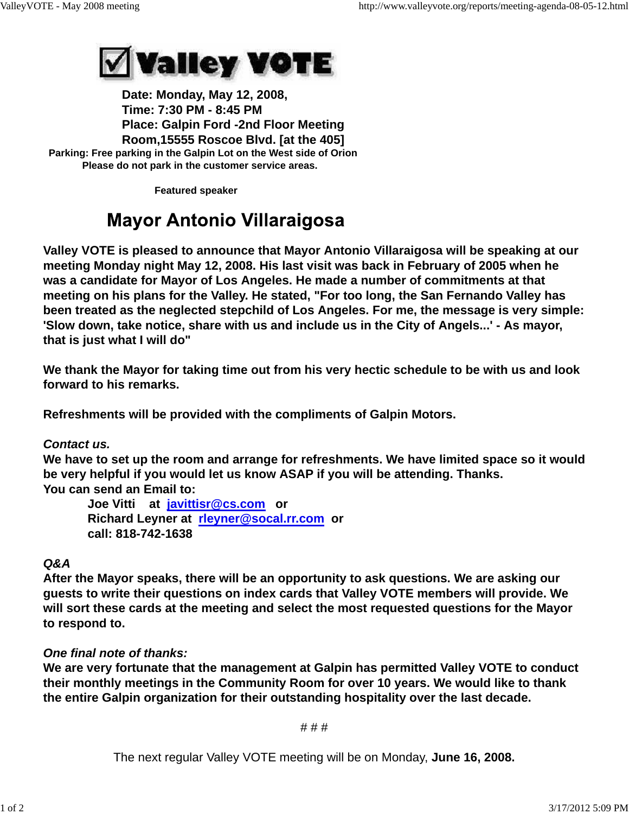

 **Date: Monday, May 12, 2008, Time: 7:30 PM - 8:45 PM Place: Galpin Ford -2nd Floor Meeting Room,15555 Roscoe Blvd. [at the 405] Parking: Free parking in the Galpin Lot on the West side of Orion Please do not park in the customer service areas.**

 **Featured speaker**

## **Mayor Antonio Villaraigosa**

**Valley VOTE is pleased to announce that Mayor Antonio Villaraigosa will be speaking at our meeting Monday night May 12, 2008. His last visit was back in February of 2005 when he was a candidate for Mayor of Los Angeles. He made a number of commitments at that meeting on his plans for the Valley. He stated, "For too long, the San Fernando Valley has been treated as the neglected stepchild of Los Angeles. For me, the message is very simple: 'Slow down, take notice, share with us and include us in the City of Angels...' - As mayor, that is just what I will do"**

**We thank the Mayor for taking time out from his very hectic schedule to be with us and look forward to his remarks.**

**Refreshments will be provided with the compliments of Galpin Motors.**

*Contact us.*

**We have to set up the room and arrange for refreshments. We have limited space so it would be very helpful if you would let us know ASAP if you will be attending. Thanks. You can send an Email to:**

 **Joe Vitti at javittisr@cs.com or Richard Leyner at rleyner@socal.rr.com or call: 818-742-1638**

## *Q&A*

**After the Mayor speaks, there will be an opportunity to ask questions. We are asking our guests to write their questions on index cards that Valley VOTE members will provide. We will sort these cards at the meeting and select the most requested questions for the Mayor to respond to.**

## *One final note of thanks:*

**We are very fortunate that the management at Galpin has permitted Valley VOTE to conduct their monthly meetings in the Community Room for over 10 years. We would like to thank the entire Galpin organization for their outstanding hospitality over the last decade.**

# # #

The next regular Valley VOTE meeting will be on Monday, **June 16, 2008.**